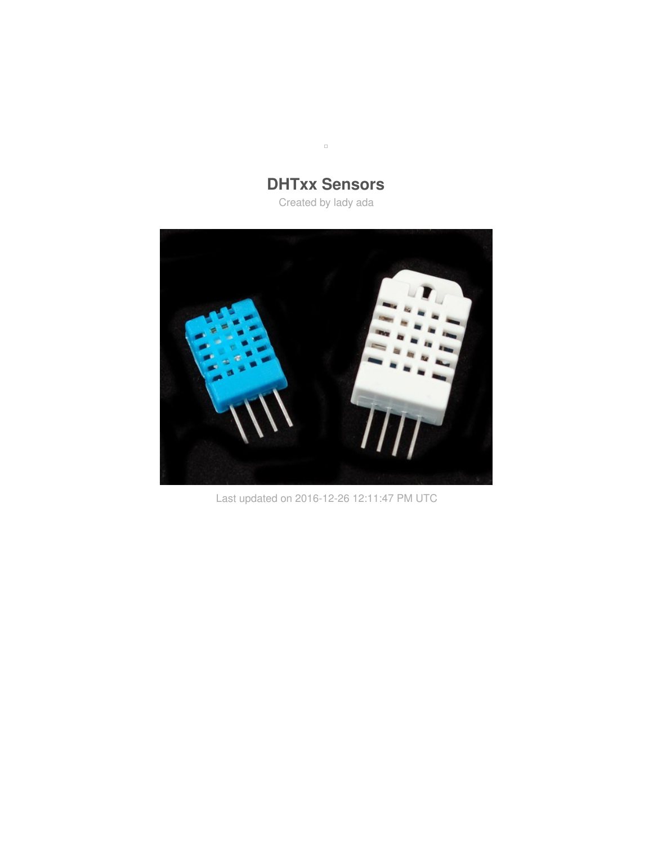**DHTxx Sensors** Created by lady ada

 $\Box$ 



Last updated on 2016-12-26 12:11:47 PM UTC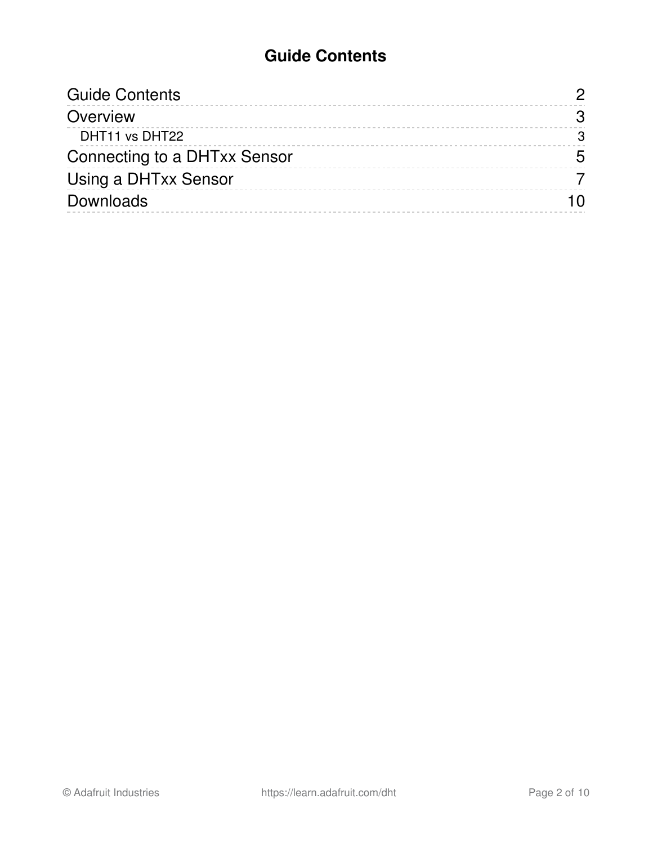### **Guide Contents**

<span id="page-1-0"></span>

| 3 |
|---|
| 3 |
| 5 |
|   |
|   |
|   |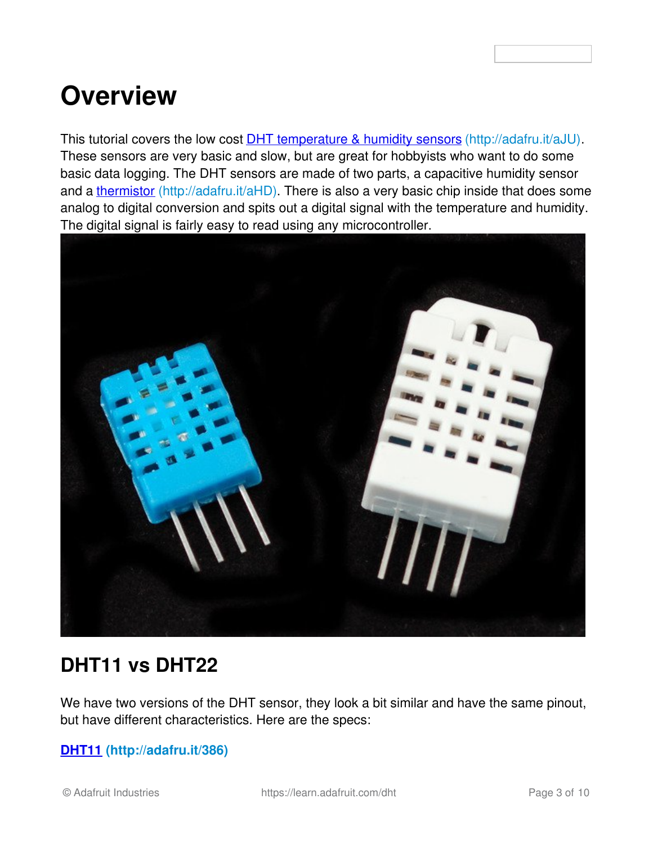## <span id="page-2-0"></span>**Overview**

This tutorial covers the low cost **DHT [temperature](http://www.adafruit.com/category/35_66) & humidity sensors** (http://adafru.it/aJU). These sensors are very basic and slow, but are great for hobbyists who want to do some basic data logging. The DHT sensors are made of two parts, a capacitive humidity sensor and a [thermistor](http://learn.adafruit.com/thermistor) (http://adafru.it/aHD). There is also a very basic chip inside that does some analog to digital conversion and spits out a digital signal with the temperature and humidity. The digital signal is fairly easy to read using any microcontroller.



### <span id="page-2-1"></span>**DHT11 vs DHT22**

We have two versions of the DHT sensor, they look a bit similar and have the same pinout, but have different characteristics. Here are the specs:

#### **[DHT11](http://www.adafruit.com/products/386) (http://adafru.it/386)**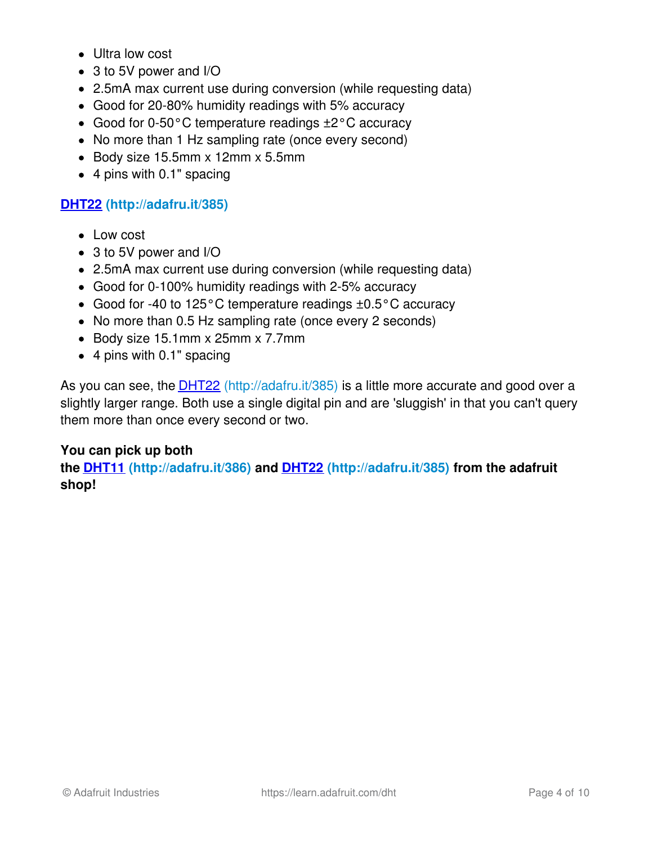- Ultra low cost
- 3 to 5V power and I/O
- 2.5mA max current use during conversion (while requesting data)
- Good for 20-80% humidity readings with 5% accuracy
- Good for 0-50°C temperature readings ±2°C accuracy
- No more than 1 Hz sampling rate (once every second)
- $\bullet$  Body size 15.5mm x 12mm x 5.5mm
- 4 pins with 0.1" spacing

#### **[DHT22](http://www.adafruit.com/products/385) (http://adafru.it/385)**

- Low cost
- 3 to 5V power and I/O
- 2.5mA max current use during conversion (while requesting data)
- Good for 0-100% humidity readings with 2-5% accuracy
- Good for -40 to 125°C temperature readings ±0.5°C accuracy
- No more than 0.5 Hz sampling rate (once every 2 seconds)
- Body size 15.1mm x 25mm x 7.7mm
- 4 pins with 0.1" spacing

As you can see, the **[DHT22](http://www.adafruit.com/products/385)** (http://adafru.it/385) is a little more accurate and good over a slightly larger range. Both use a single digital pin and are 'sluggish' in that you can't query them more than once every second or two.

#### **You can pick up both**

**the [DHT11](http://www.adafruit.com/products/386) (http://adafru.it/386) and [DHT22](http://www.adafruit.com/products/385) (http://adafru.it/385) from the adafruit shop!**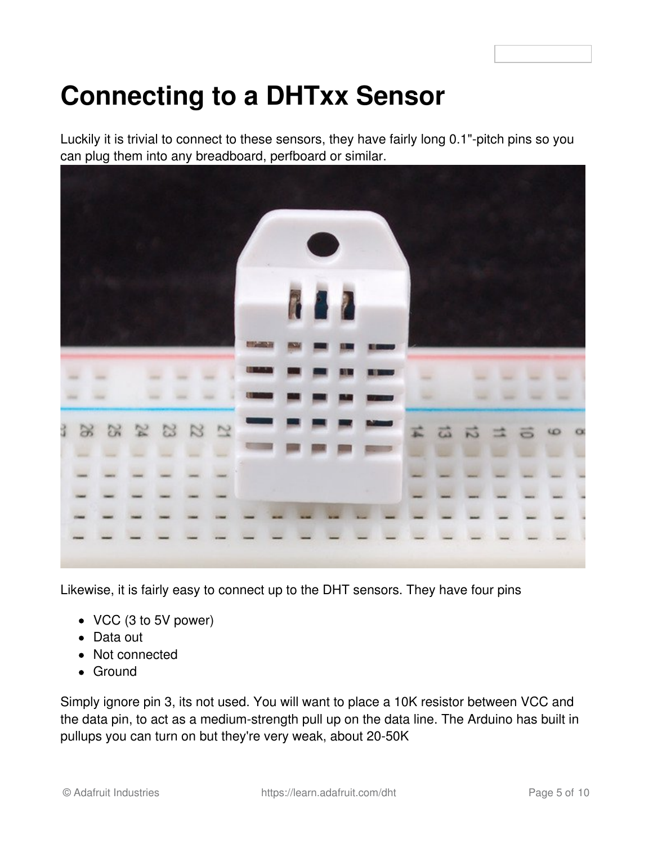# <span id="page-4-0"></span>**Connecting to a DHTxx Sensor**

Luckily it is trivial to connect to these sensors, they have fairly long 0.1"-pitch pins so you can plug them into any breadboard, perfboard or similar.



Likewise, it is fairly easy to connect up to the DHT sensors. They have four pins

- VCC (3 to 5V power)
- Data out
- Not connected
- Ground

Simply ignore pin 3, its not used. You will want to place a 10K resistor between VCC and the data pin, to act as a medium-strength pull up on the data line. The Arduino has built in pullups you can turn on but they're very weak, about 20-50K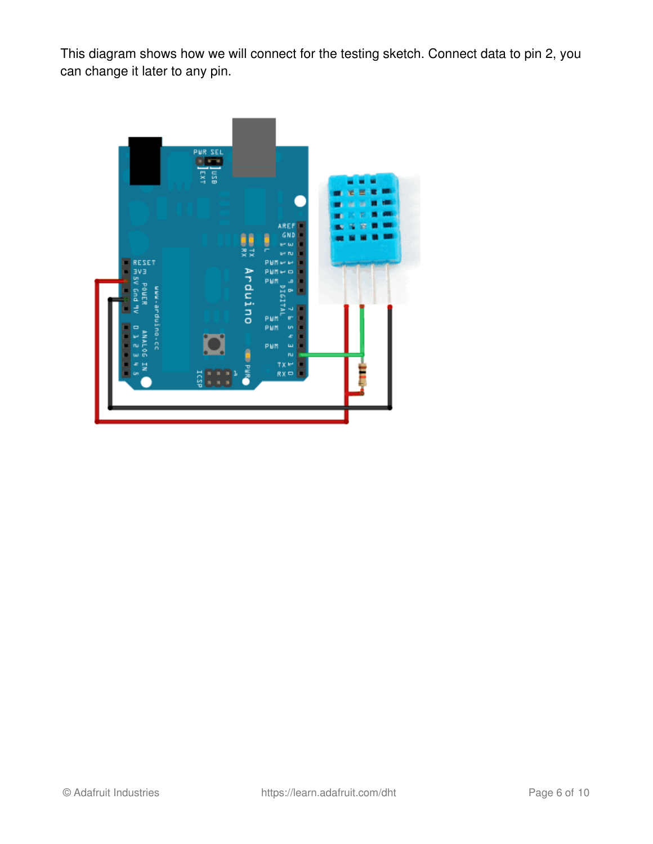This diagram shows how we will connect for the testing sketch. Connect data to pin 2, you can change it later to any pin.

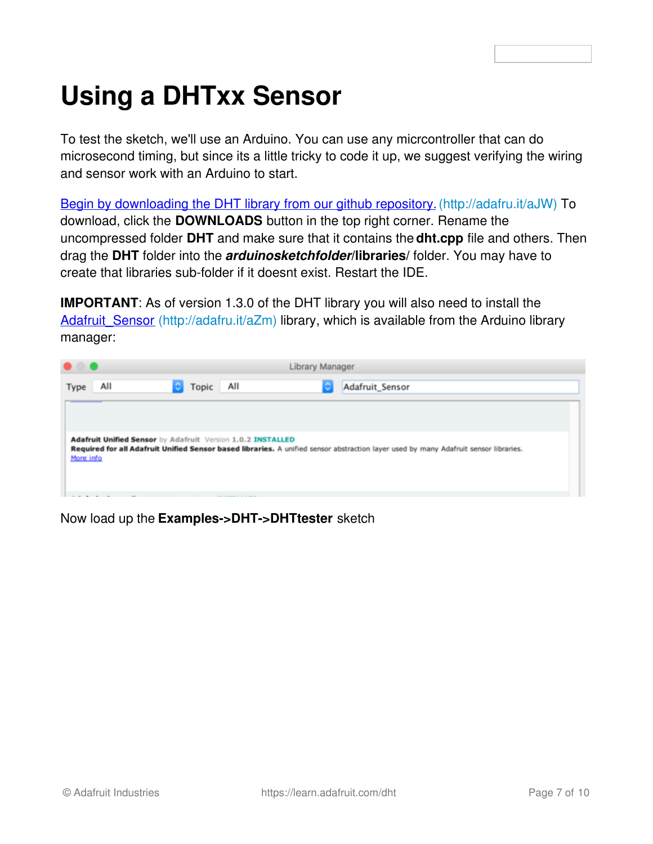# <span id="page-6-0"></span>**Using a DHTxx Sensor**

To test the sketch, we'll use an Arduino. You can use any micrcontroller that can do microsecond timing, but since its a little tricky to code it up, we suggest verifying the wiring and sensor work with an Arduino to start.

Begin by [downloading](http://learn.adafruit.com/dht/downloads) the DHT library from our github repository. (http://adafru.it/aJW) To download, click the **DOWNLOADS** button in the top right corner. Rename the uncompressed folder **DHT** and make sure that it contains the **dht.cpp** file and others. Then drag the **DHT** folder into the *arduinosketchfolder***/libraries/** folder. You may have to create that libraries sub-folder if it doesnt exist. Restart the IDE.

**IMPORTANT:** As of version 1.3.0 of the DHT library you will also need to install the Adafruit Sensor (http://adafru.it/aZm) library, which is available from the Arduino library manager:

| Library Manager<br>. .                                      |                              |                                                                                                                                      |  |  |  |
|-------------------------------------------------------------|------------------------------|--------------------------------------------------------------------------------------------------------------------------------------|--|--|--|
| All<br>Topic<br>Type                                        | All<br>٥                     | Adafruit_Sensor                                                                                                                      |  |  |  |
|                                                             |                              |                                                                                                                                      |  |  |  |
|                                                             |                              |                                                                                                                                      |  |  |  |
| Adafruit Unified Sensor by Adafruit Version 1.0.2 INSTALLED |                              | Required for all Adafruit Unified Sensor based libraries. A unified sensor abstraction layer used by many Adafruit sensor libraries. |  |  |  |
| More info                                                   |                              |                                                                                                                                      |  |  |  |
|                                                             | <b>CONTRACTOR CONTRACTOR</b> |                                                                                                                                      |  |  |  |

Now load up the **Examples->DHT->DHTtester** sketch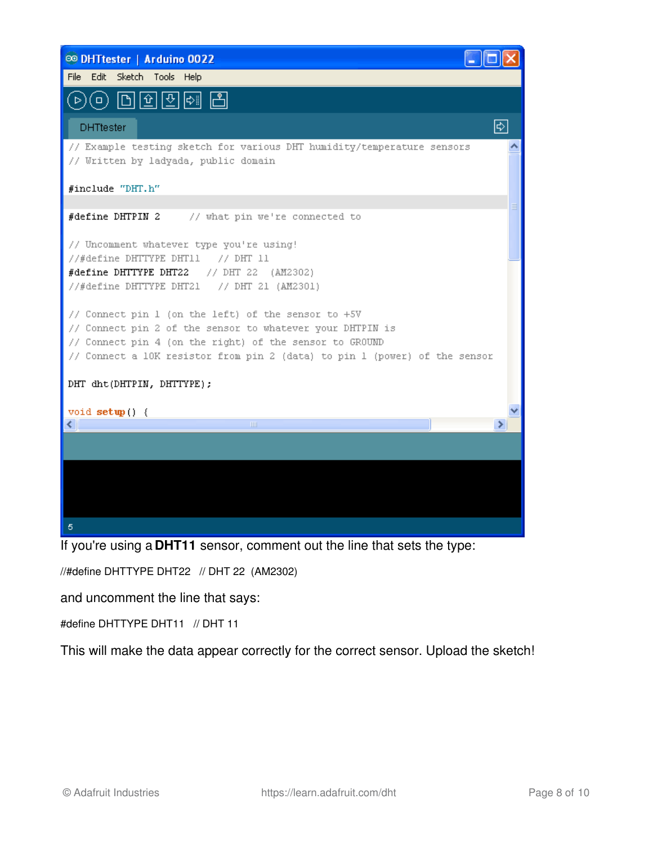| <b>@ DHTtester   Arduino 0022</b>                                                                                                                                                                                                                         |  |
|-----------------------------------------------------------------------------------------------------------------------------------------------------------------------------------------------------------------------------------------------------------|--|
| File Edit Sketch Tools Help                                                                                                                                                                                                                               |  |
| (0) 미미민(2) 네                                                                                                                                                                                                                                              |  |
| $ \!\!\downarrow\rangle $<br><b>DHTtester</b>                                                                                                                                                                                                             |  |
| // Example testing sketch for various DHT humidity/temperature sensors<br>// Written by ladyada, public domain                                                                                                                                            |  |
| #include "DHT.h"                                                                                                                                                                                                                                          |  |
| #define DHTPIN 2 // what pin we're connected to                                                                                                                                                                                                           |  |
| // Uncomment whatever type you're using!<br>//#define DHTTYPE DHT11 // DHT 11                                                                                                                                                                             |  |
| #define DHTTYPE DHT22<br>// DHT 22 (AM2302)<br>//#define DHTTYPE DHT21 // DHT 21 (AM2301)                                                                                                                                                                 |  |
| // Connect pin 1 (on the left) of the sensor to +5V<br>// Connect pin 2 of the sensor to whatever your DHTPIN is<br>// Connect pin 4 (on the right) of the sensor to GROUMD<br>// Connect a 10K resistor from pin 2 (data) to pin 1 (power) of the sensor |  |
| DHT dht(DHTPIN, DHTTYPE);                                                                                                                                                                                                                                 |  |
| void $\text{setup}( )$ {                                                                                                                                                                                                                                  |  |
| $\mathbb{H} \mathbb{H}$                                                                                                                                                                                                                                   |  |
|                                                                                                                                                                                                                                                           |  |
|                                                                                                                                                                                                                                                           |  |
|                                                                                                                                                                                                                                                           |  |
| 5                                                                                                                                                                                                                                                         |  |

If you're using a **DHT11** sensor, comment out the line that sets the type:

//#define DHTTYPE DHT22 // DHT 22 (AM2302)

and uncomment the line that says:

#define DHTTYPE DHT11 // DHT 11

This will make the data appear correctly for the correct sensor. Upload the sketch!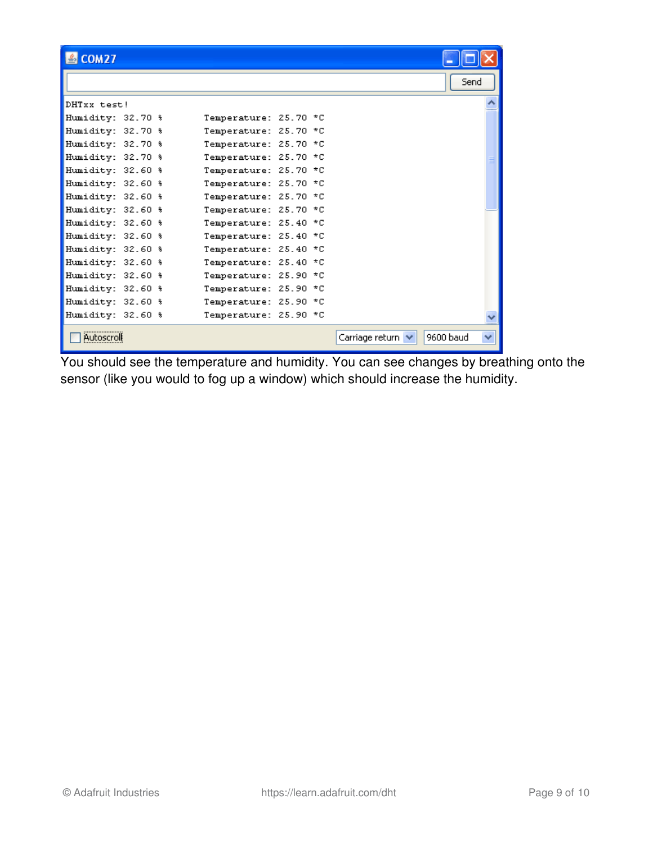| $$$ COM27         |  |                       |  |                   |           |   |
|-------------------|--|-----------------------|--|-------------------|-----------|---|
|                   |  |                       |  |                   | Send      |   |
| DHTxx test!       |  |                       |  |                   |           |   |
| Humidity: 32.70 % |  | Temperature: 25.70 *C |  |                   |           |   |
| Humidity: 32.70 % |  | Temperature: 25.70 *C |  |                   |           |   |
| Humidity: 32.70 % |  | Temperature: 25.70 *C |  |                   |           |   |
| Humidity: 32.70 % |  | Temperature: 25.70 *C |  |                   |           |   |
| Humidity: 32.60 % |  | Temperature: 25.70 *C |  |                   |           |   |
| Humidity: 32.60 % |  | Temperature: 25.70 *C |  |                   |           |   |
| Humidity: 32.60 % |  | Temperature: 25.70 *C |  |                   |           |   |
| Humidity: 32.60 % |  | Temperature: 25.70 *C |  |                   |           |   |
| Humidity: 32.60 % |  | Temperature: 25.40 *C |  |                   |           |   |
| Humidity: 32.60 % |  | Temperature: 25.40 *C |  |                   |           |   |
| Humidity: 32.60 % |  | Temperature: 25.40 *C |  |                   |           |   |
| Humidity: 32.60 % |  | Temperature: 25.40 *C |  |                   |           |   |
| Humidity: 32.60 % |  | Temperature: 25.90 *C |  |                   |           |   |
| Humidity: 32.60 % |  | Temperature: 25.90 *C |  |                   |           |   |
| Humidity: 32.60 % |  | Temperature: 25.90 *C |  |                   |           |   |
| Humidity: 32.60 % |  | Temperature: 25.90 *C |  |                   |           |   |
| <u>Autoscroll</u> |  |                       |  | Carriage return V | 9600 baud | ◡ |

You should see the temperature and humidity. You can see changes by breathing onto the sensor (like you would to fog up a window) which should increase the humidity.